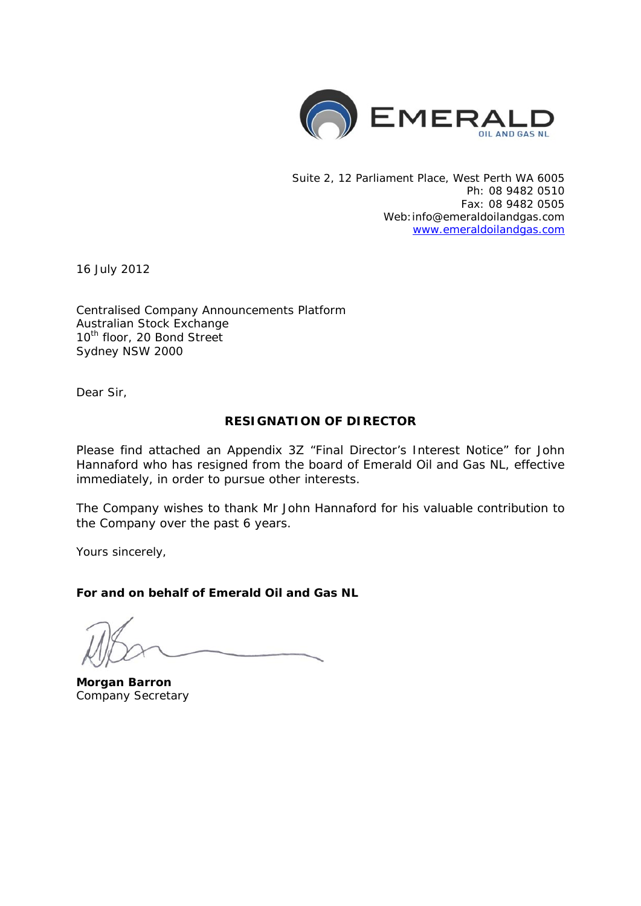

Suite 2, 12 Parliament Place, West Perth WA 6005 Ph: 08 9482 0510 Fax: 08 9482 0505 Web:info@emeraldoilandgas.com [www.emeraldoilandgas.com](http://www.emeraldoilandgas.com/)

16 July 2012

Centralised Company Announcements Platform Australian Stock Exchange 10<sup>th</sup> floor, 20 Bond Street Sydney NSW 2000

Dear Sir,

### **RESIGNATION OF DIRECTOR**

Please find attached an Appendix 3Z "Final Director's Interest Notice" for John Hannaford who has resigned from the board of Emerald Oil and Gas NL, effective immediately, in order to pursue other interests.

The Company wishes to thank Mr John Hannaford for his valuable contribution to the Company over the past 6 years.

Yours sincerely,

**For and on behalf of Emerald Oil and Gas NL**

**Morgan Barron** Company Secretary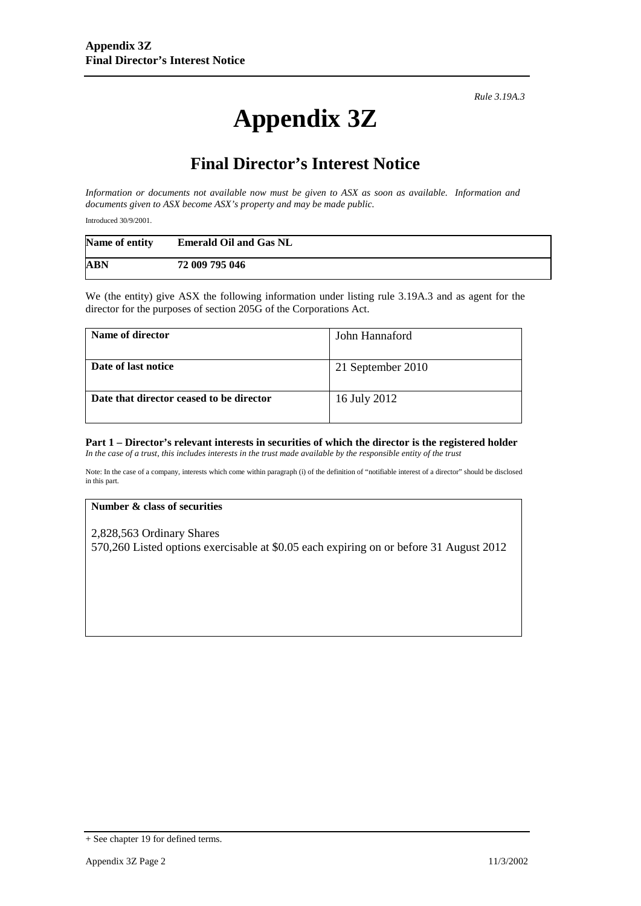*Rule 3.19A.3*

# **Appendix 3Z**

# **Final Director's Interest Notice**

*Information or documents not available now must be given to ASX as soon as available. Information and documents given to ASX become ASX's property and may be made public.*

Introduced 30/9/2001.

| Name of entity | <b>Emerald Oil and Gas NL</b> |
|----------------|-------------------------------|
| <b>ABN</b>     | 72 009 795 046                |

We (the entity) give ASX the following information under listing rule 3.19A.3 and as agent for the director for the purposes of section 205G of the Corporations Act.

| Name of director                         | John Hannaford    |
|------------------------------------------|-------------------|
| Date of last notice                      | 21 September 2010 |
| Date that director ceased to be director | 16 July 2012      |

#### **Part 1 – Director's relevant interests in securities of which the director is the registered holder** *In the case of a trust, this includes interests in the trust made available by the responsible entity of the trust*

Note: In the case of a company, interests which come within paragraph (i) of the definition of "notifiable interest of a director" should be disclosed in this part.

#### **Number & class of securities**

2,828,563 Ordinary Shares 570,260 Listed options exercisable at \$0.05 each expiring on or before 31 August 2012

<sup>+</sup> See chapter 19 for defined terms.